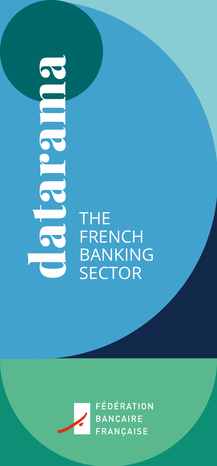**the** THE 2 2 <u>r</u> 2 ma<br>a

**FRENCH** BANKING<br>SECTOR

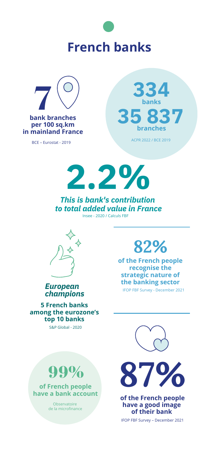# **French banks**



BCE – Eurostat - 2019



**2 . 2 %**

*Th is is b an k's co ntribution to total added value in France* Insee - 2020 / Calculs FBF



*European champions*

**5 French banks among the eurozone's top 10 banks**

#### S&P Global - 2020

## **82%**

IFOP FBF Survey - December 2021 **of the French people recognise the strategic nature of the banking sector**





**of French people have a bank account**

> Observatoire de la microfinance



**of the French people have a good image of their bank**

IFOP FBF Survey – December 2021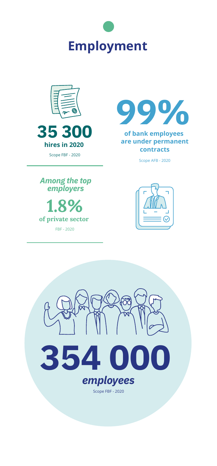



Scope FBF - 2020



#### **of ba nk em ployees are under permanent contracts**

Scope AFB - 2020



**1.8% of private sector**

FBF - 2020



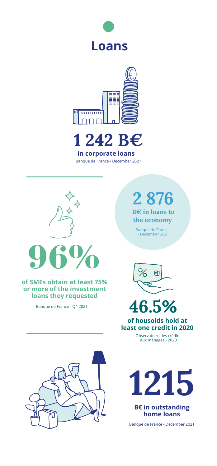





Banque de France - December 2021



#### **of SMEs obtain at least 75% or more of the investment loans they requested**

Banque de France - Q4 2021

**2 876**

**B€ in loans to the economy**

Banque de France - December 2021



**46.5%**

**of housolds hold at least one credit in 2020**

> Observatoire des crédits aux ménages - 2020



**1215**

**B€ in outstanding home loans**

Banque de France - December 2021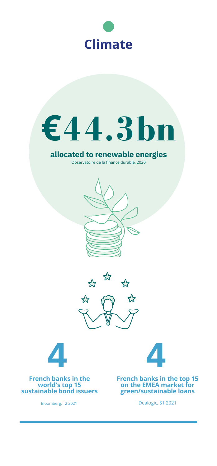



## **allocated to renewable energies**

Observatoire de la finance durable, 2020







**French banks in the world's top 15 sustainable bond issuers**



**French banks in the top 15 on the EMEA market for green/sustainable loans**

Bloomberg, T2 2021

Dealogic, S1 2021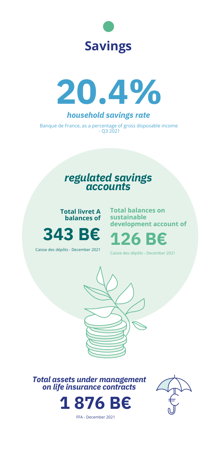



*hou sehol d s aving s rate*

Banque de France, as a percentage of gross disposable income - Q3 2021

### *regulated savings accounts*



**Total balances on sustainable development account of**





Caisse des dépôts - December 2021

Caisse des dépôts - December 2021



*Total assets under management on life insurance contracts*



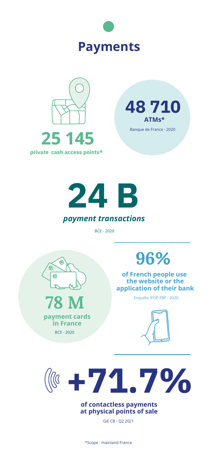







#### *payment transactions*

BCE - 2020





GiE CB - Q2 2021

\*Scope : mainland France